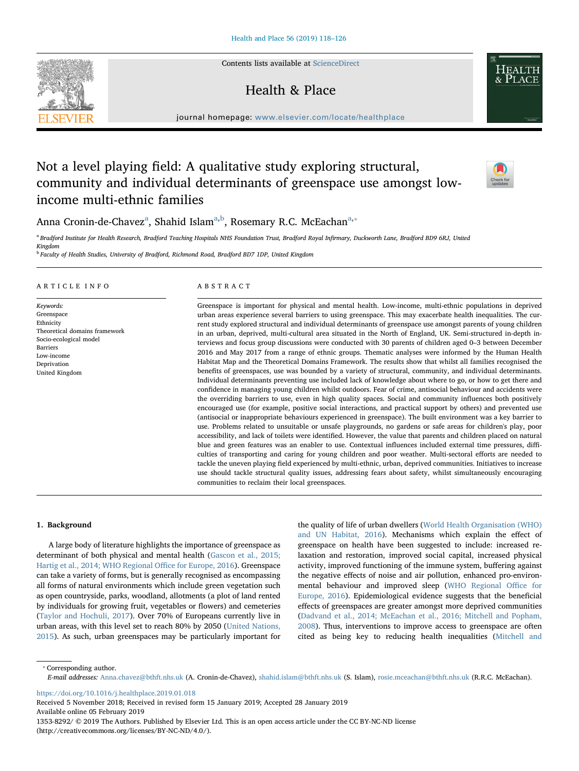Contents lists available at [ScienceDirect](http://www.sciencedirect.com/science/journal/13538292)

# Health & Place

journal homepage: [www.elsevier.com/locate/healthplace](https://www.elsevier.com/locate/healthplace)

# Not a level playing field: A qualitative study exploring structural, community and individual determinants of greenspace use amongst lowincome multi-ethnic families



Ann[a](#page-0-0) Cronin-de-Chavez<sup>a</sup>, Shahid Islam<sup>a[,b](#page-0-1)</sup>, Rosemary R.C. McEachan<sup>[a,](#page-0-0)</sup>\*

<span id="page-0-0"></span>a Bradford Institute for Health Research, Bradford Teaching Hospitals NHS Foundation Trust, Bradford Royal Infirmary, Duckworth Lane, Bradford BD9 6RJ, United Kingdom

<span id="page-0-1"></span><sup>b</sup> Faculty of Health Studies, University of Bradford, Richmond Road, Bradford BD7 1DP, United Kingdom

## ARTICLE INFO

Keywords: Greenspace Ethnicity Theoretical domains framework Socio-ecological model Barriers Low-income Deprivation United Kingdom

#### ABSTRACT

Greenspace is important for physical and mental health. Low-income, multi-ethnic populations in deprived urban areas experience several barriers to using greenspace. This may exacerbate health inequalities. The current study explored structural and individual determinants of greenspace use amongst parents of young children in an urban, deprived, multi-cultural area situated in the North of England, UK. Semi-structured in-depth interviews and focus group discussions were conducted with 30 parents of children aged 0–3 between December 2016 and May 2017 from a range of ethnic groups. Thematic analyses were informed by the Human Health Habitat Map and the Theoretical Domains Framework. The results show that whilst all families recognised the benefits of greenspaces, use was bounded by a variety of structural, community, and individual determinants. Individual determinants preventing use included lack of knowledge about where to go, or how to get there and confidence in managing young children whilst outdoors. Fear of crime, antisocial behaviour and accidents were the overriding barriers to use, even in high quality spaces. Social and community influences both positively encouraged use (for example, positive social interactions, and practical support by others) and prevented use (antisocial or inappropriate behaviours experienced in greenspace). The built environment was a key barrier to use. Problems related to unsuitable or unsafe playgrounds, no gardens or safe areas for children's play, poor accessibility, and lack of toilets were identified. However, the value that parents and children placed on natural blue and green features was an enabler to use. Contextual influences included external time pressures, difficulties of transporting and caring for young children and poor weather. Multi-sectoral efforts are needed to tackle the uneven playing field experienced by multi-ethnic, urban, deprived communities. Initiatives to increase use should tackle structural quality issues, addressing fears about safety, whilst simultaneously encouraging communities to reclaim their local greenspaces.

## 1. Background

A large body of literature highlights the importance of greenspace as determinant of both physical and mental health ([Gascon et al., 2015;](#page-8-0) [Hartig et al., 2014; WHO Regional O](#page-8-0)ffice for Europe, 2016). Greenspace can take a variety of forms, but is generally recognised as encompassing all forms of natural environments which include green vegetation such as open countryside, parks, woodland, allotments (a plot of land rented by individuals for growing fruit, vegetables or flowers) and cemeteries ([Taylor and Hochuli, 2017\)](#page-8-1). Over 70% of Europeans currently live in urban areas, with this level set to reach 80% by 2050 [\(United Nations,](#page-8-2) [2015\)](#page-8-2). As such, urban greenspaces may be particularly important for

the quality of life of urban dwellers ([World Health Organisation \(WHO\)](#page-8-3) [and UN Habitat, 2016](#page-8-3)). Mechanisms which explain the effect of greenspace on health have been suggested to include: increased relaxation and restoration, improved social capital, increased physical activity, improved functioning of the immune system, buffering against the negative effects of noise and air pollution, enhanced pro-environmental behaviour and improved sleep ([WHO Regional O](#page-8-4)ffice for [Europe, 2016](#page-8-4)). Epidemiological evidence suggests that the beneficial effects of greenspaces are greater amongst more deprived communities ([Dadvand et al., 2014; McEachan et al., 2016; Mitchell and Popham,](#page-8-5) [2008\)](#page-8-5). Thus, interventions to improve access to greenspace are often cited as being key to reducing health inequalities [\(Mitchell and](#page-8-6)

<span id="page-0-2"></span>⁎ Corresponding author.

<https://doi.org/10.1016/j.healthplace.2019.01.018>

Received 5 November 2018; Received in revised form 15 January 2019; Accepted 28 January 2019 Available online 05 February 2019

1353-8292/ © 2019 The Authors. Published by Elsevier Ltd. This is an open access article under the CC BY-NC-ND license (http://creativecommons.org/licenses/BY-NC-ND/4.0/).



E-mail addresses: [Anna.chavez@bthft.nhs.uk](mailto:Anna.chavez@bthft.nhs.uk) (A. Cronin-de-Chavez), [shahid.islam@bthft.nhs.uk](mailto:shahid.islam@bthft.nhs.uk) (S. Islam), [rosie.mceachan@bthft.nhs.uk](mailto:rosie.mceachan@bthft.nhs.uk) (R.R.C. McEachan).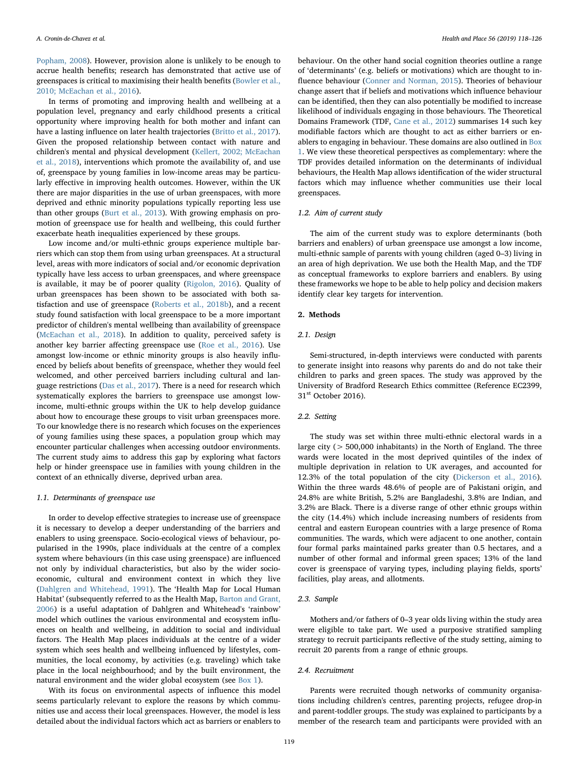[Popham, 2008](#page-8-6)). However, provision alone is unlikely to be enough to accrue health benefits; research has demonstrated that active use of greenspaces is critical to maximising their health benefits ([Bowler et al.,](#page-8-7) [2010; McEachan et al., 2016](#page-8-7)).

In terms of promoting and improving health and wellbeing at a population level, pregnancy and early childhood presents a critical opportunity where improving health for both mother and infant can have a lasting influence on later health trajectories [\(Britto et al., 2017](#page-8-8)). Given the proposed relationship between contact with nature and children's mental and physical development ([Kellert, 2002; McEachan](#page-8-9) [et al., 2018\)](#page-8-9), interventions which promote the availability of, and use of, greenspace by young families in low-income areas may be particularly effective in improving health outcomes. However, within the UK there are major disparities in the use of urban greenspaces, with more deprived and ethnic minority populations typically reporting less use than other groups ([Burt et al., 2013\)](#page-8-10). With growing emphasis on promotion of greenspace use for health and wellbeing, this could further exacerbate heath inequalities experienced by these groups.

Low income and/or multi-ethnic groups experience multiple barriers which can stop them from using urban greenspaces. At a structural level, areas with more indicators of social and/or economic deprivation typically have less access to urban greenspaces, and where greenspace is available, it may be of poorer quality [\(Rigolon, 2016](#page-8-11)). Quality of urban greenspaces has been shown to be associated with both satisfaction and use of greenspace [\(Roberts et al., 2018b](#page-8-12)), and a recent study found satisfaction with local greenspace to be a more important predictor of children's mental wellbeing than availability of greenspace ([McEachan et al., 2018](#page-8-13)). In addition to quality, perceived safety is another key barrier affecting greenspace use [\(Roe et al., 2016](#page-8-14)). Use amongst low-income or ethnic minority groups is also heavily influenced by beliefs about benefits of greenspace, whether they would feel welcomed, and other perceived barriers including cultural and language restrictions [\(Das et al., 2017](#page-8-15)). There is a need for research which systematically explores the barriers to greenspace use amongst lowincome, multi-ethnic groups within the UK to help develop guidance about how to encourage these groups to visit urban greenspaces more. To our knowledge there is no research which focuses on the experiences of young families using these spaces, a population group which may encounter particular challenges when accessing outdoor environments. The current study aims to address this gap by exploring what factors help or hinder greenspace use in families with young children in the context of an ethnically diverse, deprived urban area.

## 1.1. Determinants of greenspace use

In order to develop effective strategies to increase use of greenspace it is necessary to develop a deeper understanding of the barriers and enablers to using greenspace. Socio-ecological views of behaviour, popularised in the 1990s, place individuals at the centre of a complex system where behaviours (in this case using greenspace) are influenced not only by individual characteristics, but also by the wider socioeconomic, cultural and environment context in which they live ([Dahlgren and Whitehead, 1991](#page-8-16)). The 'Health Map for Local Human Habitat' (subsequently referred to as the Health Map, [Barton and Grant,](#page-8-17) [2006\)](#page-8-17) is a useful adaptation of Dahlgren and Whitehead's 'rainbow' model which outlines the various environmental and ecosystem influences on health and wellbeing, in addition to social and individual factors. The Health Map places individuals at the centre of a wider system which sees health and wellbeing influenced by lifestyles, communities, the local economy, by activities (e.g. traveling) which take place in the local neighbourhood; and by the built environment, the natural environment and the wider global ecosystem (see [Box 1\)](#page-2-0).

With its focus on environmental aspects of influence this model seems particularly relevant to explore the reasons by which communities use and access their local greenspaces. However, the model is less detailed about the individual factors which act as barriers or enablers to

behaviour. On the other hand social cognition theories outline a range of 'determinants' (e.g. beliefs or motivations) which are thought to influence behaviour [\(Conner and Norman, 2015\)](#page-8-18). Theories of behaviour change assert that if beliefs and motivations which influence behaviour can be identified, then they can also potentially be modified to increase likelihood of individuals engaging in those behaviours. The Theoretical Domains Framework (TDF, [Cane et al., 2012\)](#page-8-19) summarises 14 such key modifiable factors which are thought to act as either barriers or enablers to engaging in behaviour. These domains are also outlined in [Box](#page-2-0) [1](#page-2-0). We view these theoretical perspectives as complementary: where the TDF provides detailed information on the determinants of individual behaviours, the Health Map allows identification of the wider structural factors which may influence whether communities use their local greenspaces.

# 1.2. Aim of current study

The aim of the current study was to explore determinants (both barriers and enablers) of urban greenspace use amongst a low income, multi-ethnic sample of parents with young children (aged 0–3) living in an area of high deprivation. We use both the Health Map, and the TDF as conceptual frameworks to explore barriers and enablers. By using these frameworks we hope to be able to help policy and decision makers identify clear key targets for intervention.

#### 2. Methods

## 2.1. Design

Semi-structured, in-depth interviews were conducted with parents to generate insight into reasons why parents do and do not take their children to parks and green spaces. The study was approved by the University of Bradford Research Ethics committee (Reference EC2399,  $31<sup>st</sup>$  October 2016).

# 2.2. Setting

The study was set within three multi-ethnic electoral wards in a large city (> 500,000 inhabitants) in the North of England. The three wards were located in the most deprived quintiles of the index of multiple deprivation in relation to UK averages, and accounted for 12.3% of the total population of the city [\(Dickerson et al., 2016](#page-8-20)). Within the three wards 48.6% of people are of Pakistani origin, and 24.8% are white British, 5.2% are Bangladeshi, 3.8% are Indian, and 3.2% are Black. There is a diverse range of other ethnic groups within the city (14.4%) which include increasing numbers of residents from central and eastern European countries with a large presence of Roma communities. The wards, which were adjacent to one another, contain four formal parks maintained parks greater than 0.5 hectares, and a number of other formal and informal green spaces; 13% of the land cover is greenspace of varying types, including playing fields, sports' facilities, play areas, and allotments.

## 2.3. Sample

Mothers and/or fathers of 0–3 year olds living within the study area were eligible to take part. We used a purposive stratified sampling strategy to recruit participants reflective of the study setting, aiming to recruit 20 parents from a range of ethnic groups.

#### 2.4. Recruitment

Parents were recruited though networks of community organisations including children's centres, parenting projects, refugee drop-in and parent-toddler groups. The study was explained to participants by a member of the research team and participants were provided with an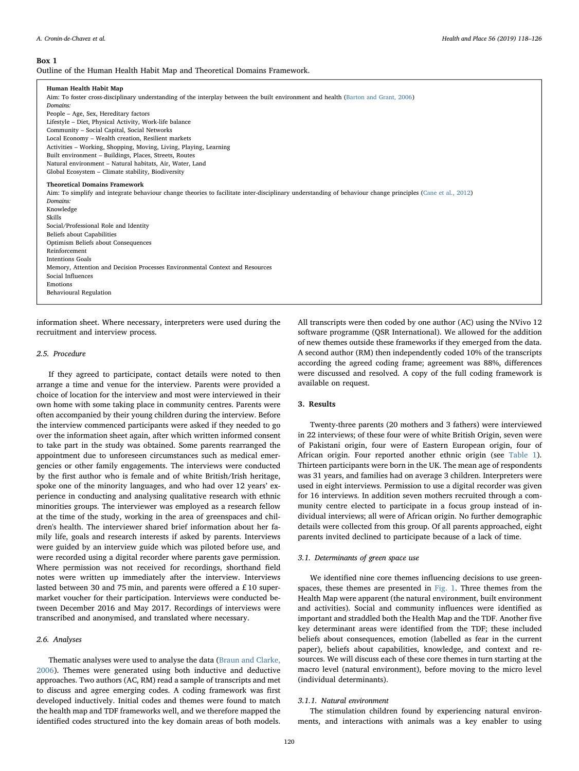#### <span id="page-2-0"></span>Box 1

Outline of the Human Health Habit Map and Theoretical Domains Framework.

#### Human Health Habit Map

Aim: To foster cross-disciplinary understanding of the interplay between the built environment and health [\(Barton and Grant, 2006](#page-8-17)) Domains: People – Age, Sex, Hereditary factors Lifestyle – Diet, Physical Activity, Work-life balance Community – Social Capital, Social Networks Local Economy – Wealth creation, Resilient markets Activities – Working, Shopping, Moving, Living, Playing, Learning Built environment – Buildings, Places, Streets, Routes Natural environment – Natural habitats, Air, Water, Land Global Ecosystem – Climate stability, Biodiversity Theoretical Domains Framework Aim: To simplify and integrate behaviour change theories to facilitate inter-disciplinary understanding of behaviour change principles ([Cane et al., 2012](#page-8-19)) Domains: Knowledge Skills

| экшэ                                                                         |
|------------------------------------------------------------------------------|
| Social/Professional Role and Identity                                        |
| <b>Beliefs about Capabilities</b>                                            |
| Optimism Beliefs about Consequences                                          |
| Reinforcement                                                                |
| Intentions Goals                                                             |
| Memory, Attention and Decision Processes Environmental Context and Resources |
| Social Influences                                                            |
| Emotions                                                                     |
| Behavioural Regulation                                                       |
|                                                                              |

information sheet. Where necessary, interpreters were used during the recruitment and interview process.

## 2.5. Procedure

If they agreed to participate, contact details were noted to then arrange a time and venue for the interview. Parents were provided a choice of location for the interview and most were interviewed in their own home with some taking place in community centres. Parents were often accompanied by their young children during the interview. Before the interview commenced participants were asked if they needed to go over the information sheet again, after which written informed consent to take part in the study was obtained. Some parents rearranged the appointment due to unforeseen circumstances such as medical emergencies or other family engagements. The interviews were conducted by the first author who is female and of white British/Irish heritage, spoke one of the minority languages, and who had over 12 years' experience in conducting and analysing qualitative research with ethnic minorities groups. The interviewer was employed as a research fellow at the time of the study, working in the area of greenspaces and children's health. The interviewer shared brief information about her family life, goals and research interests if asked by parents. Interviews were guided by an interview guide which was piloted before use, and were recorded using a digital recorder where parents gave permission. Where permission was not received for recordings, shorthand field notes were written up immediately after the interview. Interviews lasted between 30 and 75 min, and parents were offered a £ 10 supermarket voucher for their participation. Interviews were conducted between December 2016 and May 2017. Recordings of interviews were transcribed and anonymised, and translated where necessary.

# 2.6. Analyses

Thematic analyses were used to analyse the data [\(Braun and Clarke,](#page-8-21) [2006\)](#page-8-21). Themes were generated using both inductive and deductive approaches. Two authors (AC, RM) read a sample of transcripts and met to discuss and agree emerging codes. A coding framework was first developed inductively. Initial codes and themes were found to match the health map and TDF frameworks well, and we therefore mapped the identified codes structured into the key domain areas of both models.

All transcripts were then coded by one author (AC) using the NVivo 12 software programme (QSR International). We allowed for the addition of new themes outside these frameworks if they emerged from the data. A second author (RM) then independently coded 10% of the transcripts according the agreed coding frame; agreement was 88%, differences were discussed and resolved. A copy of the full coding framework is available on request.

## 3. Results

Twenty-three parents (20 mothers and 3 fathers) were interviewed in 22 interviews; of these four were of white British Origin, seven were of Pakistani origin, four were of Eastern European origin, four of African origin. Four reported another ethnic origin (see [Table 1](#page-3-0)). Thirteen participants were born in the UK. The mean age of respondents was 31 years, and families had on average 3 children. Interpreters were used in eight interviews. Permission to use a digital recorder was given for 16 interviews. In addition seven mothers recruited through a community centre elected to participate in a focus group instead of individual interviews; all were of African origin. No further demographic details were collected from this group. Of all parents approached, eight parents invited declined to participate because of a lack of time.

# 3.1. Determinants of green space use

We identified nine core themes influencing decisions to use greenspaces, these themes are presented in [Fig. 1](#page-4-0). Three themes from the Health Map were apparent (the natural environment, built environment and activities). Social and community influences were identified as important and straddled both the Health Map and the TDF. Another five key determinant areas were identified from the TDF; these included beliefs about consequences, emotion (labelled as fear in the current paper), beliefs about capabilities, knowledge, and context and resources. We will discuss each of these core themes in turn starting at the macro level (natural environment), before moving to the micro level (individual determinants).

## 3.1.1. Natural environment

The stimulation children found by experiencing natural environments, and interactions with animals was a key enabler to using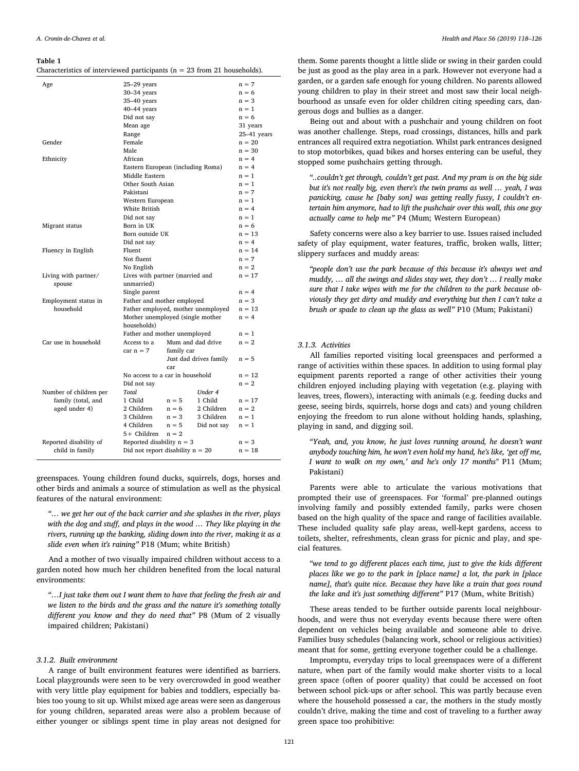#### <span id="page-3-0"></span>Table 1

|  | Characteristics of interviewed participants ( $n = 23$ from 21 households). |  |  |  |  |  |  |  |  |  |  |  |  |
|--|-----------------------------------------------------------------------------|--|--|--|--|--|--|--|--|--|--|--|--|
|--|-----------------------------------------------------------------------------|--|--|--|--|--|--|--|--|--|--|--|--|

| Age                    | $25-29$ years                      |                                 |             | $n = 7$  |  |  |  |
|------------------------|------------------------------------|---------------------------------|-------------|----------|--|--|--|
|                        | 30-34 years                        | $n = 6$                         |             |          |  |  |  |
|                        | $35-40$ years                      | $n = 3$                         |             |          |  |  |  |
|                        | 40-44 years                        |                                 |             | $n = 1$  |  |  |  |
|                        | Did not say                        | $n = 6$                         |             |          |  |  |  |
|                        | Mean age                           |                                 |             | 31 years |  |  |  |
|                        | Range                              | $25-41$ years                   |             |          |  |  |  |
| Gender                 | Female                             |                                 |             | $n = 20$ |  |  |  |
|                        | Male                               |                                 |             | $n = 30$ |  |  |  |
| Ethnicity              | African                            |                                 |             | $n = 4$  |  |  |  |
|                        | Eastern European (including Roma)  |                                 |             | $n = 4$  |  |  |  |
|                        | Middle Eastern                     | $n = 1$                         |             |          |  |  |  |
|                        | Other South Asian                  |                                 |             | $n = 1$  |  |  |  |
|                        | Pakistani                          | $n = 7$                         |             |          |  |  |  |
|                        |                                    | Western European                |             |          |  |  |  |
|                        | White British                      |                                 |             | $n = 4$  |  |  |  |
|                        | Did not say                        |                                 |             | $n = 1$  |  |  |  |
| Migrant status         | Born in UK                         |                                 |             | $n = 6$  |  |  |  |
|                        | Born outside UK                    |                                 |             | $n = 13$ |  |  |  |
|                        | Did not say                        |                                 |             | $n = 4$  |  |  |  |
| Fluency in English     | Fluent                             |                                 |             | $n = 14$ |  |  |  |
|                        | Not fluent                         |                                 | $n = 7$     |          |  |  |  |
|                        | No English                         |                                 |             |          |  |  |  |
| Living with partner/   | Lives with partner (married and    | $n = 17$                        |             |          |  |  |  |
| spouse                 | unmarried)                         |                                 |             |          |  |  |  |
|                        | Single parent                      | $n = 4$                         |             |          |  |  |  |
| Employment status in   | Father and mother employed         | $n = 3$                         |             |          |  |  |  |
| household              | Father employed, mother unemployed | $n = 13$                        |             |          |  |  |  |
|                        | Mother unemployed (single mother   | $n = 4$                         |             |          |  |  |  |
|                        | households)                        |                                 |             |          |  |  |  |
|                        |                                    | Father and mother unemployed    |             |          |  |  |  |
| Car use in household   | Access to a                        | Mum and dad drive               | $n = 2$     |          |  |  |  |
|                        | $car n = 7$<br>family car          |                                 |             |          |  |  |  |
|                        |                                    | Just dad drives family          | $n = 5$     |          |  |  |  |
|                        |                                    | car                             |             |          |  |  |  |
|                        |                                    | No access to a car in household |             |          |  |  |  |
|                        | Did not say                        |                                 |             | $n = 2$  |  |  |  |
| Number of children per | Total                              |                                 | Under 4     |          |  |  |  |
| family (total, and     | 1 Child                            | $n = 5$                         | 1 Child     | $n = 17$ |  |  |  |
| aged under 4)          | 2 Children                         | $n = 6$                         | 2 Children  | $n = 2$  |  |  |  |
|                        | 3 Children                         | $n = 3$                         | 3 Children  | $n = 1$  |  |  |  |
|                        | 4 Children                         | $n = 5$                         | Did not say | $n = 1$  |  |  |  |
|                        | $5+$ Children                      | $n = 2$                         |             |          |  |  |  |
| Reported disability of | Reported disability $n = 3$        | $n = 3$                         |             |          |  |  |  |
| child in family        | Did not report disability $n = 20$ | $n = 18$                        |             |          |  |  |  |

greenspaces. Young children found ducks, squirrels, dogs, horses and other birds and animals a source of stimulation as well as the physical features of the natural environment:

"… we get her out of the back carrier and she splashes in the river, plays with the dog and stuff, and plays in the wood … They like playing in the rivers, running up the banking, sliding down into the river, making it as a slide even when it's raining" P18 (Mum; white British)

And a mother of two visually impaired children without access to a garden noted how much her children benefited from the local natural environments:

"…I just take them out I want them to have that feeling the fresh air and we listen to the birds and the grass and the nature it's something totally different you know and they do need that" P8 (Mum of 2 visually impaired children; Pakistani)

# 3.1.2. Built environment

A range of built environment features were identified as barriers. Local playgrounds were seen to be very overcrowded in good weather with very little play equipment for babies and toddlers, especially babies too young to sit up. Whilst mixed age areas were seen as dangerous for young children, separated areas were also a problem because of either younger or siblings spent time in play areas not designed for

them. Some parents thought a little slide or swing in their garden could be just as good as the play area in a park. However not everyone had a garden, or a garden safe enough for young children. No parents allowed young children to play in their street and most saw their local neighbourhood as unsafe even for older children citing speeding cars, dangerous dogs and bullies as a danger.

Being out and about with a pushchair and young children on foot was another challenge. Steps, road crossings, distances, hills and park entrances all required extra negotiation. Whilst park entrances designed to stop motorbikes, quad bikes and horses entering can be useful, they stopped some pushchairs getting through.

"..couldn't get through, couldn't get past. And my pram is on the big side but it's not really big, even there's the twin prams as well … yeah, I was panicking, cause he [baby son] was getting really fussy, I couldn't entertain him anymore, had to lift the pushchair over this wall, this one guy actually came to help me" P4 (Mum; Western European)

Safety concerns were also a key barrier to use. Issues raised included safety of play equipment, water features, traffic, broken walls, litter; slippery surfaces and muddy areas:

"people don't use the park because of this because it's always wet and muddy, … all the swings and slides stay wet, they don't … I really make sure that I take wipes with me for the children to the park because obviously they get dirty and muddy and everything but then I can't take a brush or spade to clean up the glass as well" P10 (Mum; Pakistani)

## 3.1.3. Activities

All families reported visiting local greenspaces and performed a range of activities within these spaces. In addition to using formal play equipment parents reported a range of other activities their young children enjoyed including playing with vegetation (e.g. playing with leaves, trees, flowers), interacting with animals (e.g. feeding ducks and geese, seeing birds, squirrels, horse dogs and cats) and young children enjoying the freedom to run alone without holding hands, splashing, playing in sand, and digging soil.

"Yeah, and, you know, he just loves running around, he doesn't want anybody touching him, he won't even hold my hand, he's like, 'get off me, I want to walk on my own,' and he's only 17 months" P11 (Mum; Pakistani)

Parents were able to articulate the various motivations that prompted their use of greenspaces. For 'formal' pre-planned outings involving family and possibly extended family, parks were chosen based on the high quality of the space and range of facilities available. These included quality safe play areas, well-kept gardens, access to toilets, shelter, refreshments, clean grass for picnic and play, and special features.

"we tend to go different places each time, just to give the kids different places like we go to the park in [place name] a lot, the park in [place name], that's quite nice. Because they have like a train that goes round the lake and it's just something different" P17 (Mum, white British)

These areas tended to be further outside parents local neighbourhoods, and were thus not everyday events because there were often dependent on vehicles being available and someone able to drive. Families busy schedules (balancing work, school or religious activities) meant that for some, getting everyone together could be a challenge.

Impromptu, everyday trips to local greenspaces were of a different nature, when part of the family would make shorter visits to a local green space (often of poorer quality) that could be accessed on foot between school pick-ups or after school. This was partly because even where the household possessed a car, the mothers in the study mostly couldn't drive, making the time and cost of traveling to a further away green space too prohibitive: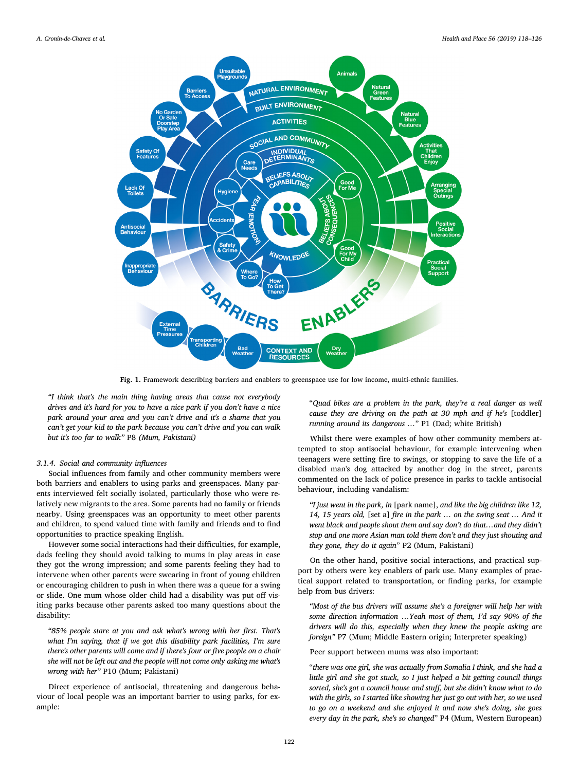<span id="page-4-0"></span>

Fig. 1. Framework describing barriers and enablers to greenspace use for low income, multi-ethnic families.

"I think that's the main thing having areas that cause not everybody drives and it's hard for you to have a nice park if you don't have a nice park around your area and you can't drive and it's a shame that you can't get your kid to the park because you can't drive and you can walk but it's too far to walk" P8 (Mum, Pakistani)

# 3.1.4. Social and community influences

Social influences from family and other community members were both barriers and enablers to using parks and greenspaces. Many parents interviewed felt socially isolated, particularly those who were relatively new migrants to the area. Some parents had no family or friends nearby. Using greenspaces was an opportunity to meet other parents and children, to spend valued time with family and friends and to find opportunities to practice speaking English.

However some social interactions had their difficulties, for example, dads feeling they should avoid talking to mums in play areas in case they got the wrong impression; and some parents feeling they had to intervene when other parents were swearing in front of young children or encouraging children to push in when there was a queue for a swing or slide. One mum whose older child had a disability was put off visiting parks because other parents asked too many questions about the disability:

"85% people stare at you and ask what's wrong with her first. That's what I'm saying, that if we got this disability park facilities, I'm sure there's other parents will come and if there's four or five people on a chair she will not be left out and the people will not come only asking me what's wrong with her" P10 (Mum; Pakistani)

Direct experience of antisocial, threatening and dangerous behaviour of local people was an important barrier to using parks, for example:

"Quad bikes are a problem in the park, they're a real danger as well cause they are driving on the path at 30 mph and if he's [toddler] running around its dangerous …" P1 (Dad; white British)

Whilst there were examples of how other community members attempted to stop antisocial behaviour, for example intervening when teenagers were setting fire to swings, or stopping to save the life of a disabled man's dog attacked by another dog in the street, parents commented on the lack of police presence in parks to tackle antisocial behaviour, including vandalism:

"I just went in the park, in [park name], and like the big children like 12, 14, 15 years old, [set a] fire in the park … on the swing seat … And it went black and people shout them and say don't do that…and they didn't stop and one more Asian man told them don't and they just shouting and they gone, they do it again" P2 (Mum, Pakistani)

On the other hand, positive social interactions, and practical support by others were key enablers of park use. Many examples of practical support related to transportation, or finding parks, for example help from bus drivers:

"Most of the bus drivers will assume she's a foreigner will help her with some direction information …Yeah most of them, I'd say 90% of the drivers will do this, especially when they knew the people asking are foreign" P7 (Mum; Middle Eastern origin; Interpreter speaking)

Peer support between mums was also important:

"there was one girl, she was actually from Somalia I think, and she had a little girl and she got stuck, so I just helped a bit getting council things sorted, she's got a council house and stuff, but she didn't know what to do with the girls, so I started like showing her just go out with her, so we used to go on a weekend and she enjoyed it and now she's doing, she goes every day in the park, she's so changed" P4 (Mum, Western European)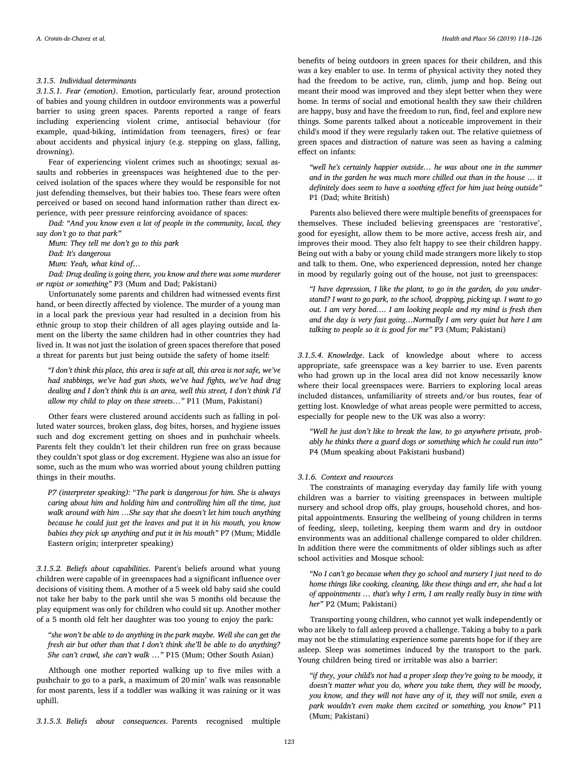## 3.1.5. Individual determinants

3.1.5.1. Fear (emotion). Emotion, particularly fear, around protection of babies and young children in outdoor environments was a powerful barrier to using green spaces. Parents reported a range of fears including experiencing violent crime, antisocial behaviour (for example, quad-biking, intimidation from teenagers, fires) or fear about accidents and physical injury (e.g. stepping on glass, falling, drowning).

Fear of experiencing violent crimes such as shootings; sexual assaults and robberies in greenspaces was heightened due to the perceived isolation of the spaces where they would be responsible for not just defending themselves, but their babies too. These fears were often perceived or based on second hand information rather than direct experience, with peer pressure reinforcing avoidance of spaces:

Dad: "And you know even a lot of people in the community, local, they say don't go to that park"

Mum: They tell me don't go to this park Dad: It's dangerous

Mum: Yeah, what kind of…

Dad: Drug dealing is going there, you know and there was some murderer or rapist or something" P3 (Mum and Dad; Pakistani)

Unfortunately some parents and children had witnessed events first hand, or been directly affected by violence. The murder of a young man in a local park the previous year had resulted in a decision from his ethnic group to stop their children of all ages playing outside and lament on the liberty the same children had in other countries they had lived in. It was not just the isolation of green spaces therefore that posed a threat for parents but just being outside the safety of home itself:

"I don't think this place, this area is safe at all, this area is not safe, we've had stabbings, we've had gun shots, we've had fights, we've had drug dealing and I don't think this is an area, well this street, I don't think I'd allow my child to play on these streets…" P11 (Mum, Pakistani)

Other fears were clustered around accidents such as falling in polluted water sources, broken glass, dog bites, horses, and hygiene issues such and dog excrement getting on shoes and in pushchair wheels. Parents felt they couldn't let their children run free on grass because they couldn't spot glass or dog excrement. Hygiene was also an issue for some, such as the mum who was worried about young children putting things in their mouths.

P7 (interpreter speaking): "The park is dangerous for him. She is always caring about him and holding him and controlling him all the time, just walk around with him …She say that she doesn't let him touch anything because he could just get the leaves and put it in his mouth, you know babies they pick up anything and put it in his mouth" P7 (Mum; Middle Eastern origin; interpreter speaking)

3.1.5.2. Beliefs about capabilities. Parent's beliefs around what young children were capable of in greenspaces had a significant influence over decisions of visiting them. A mother of a 5 week old baby said she could not take her baby to the park until she was 5 months old because the play equipment was only for children who could sit up. Another mother of a 5 month old felt her daughter was too young to enjoy the park:

"she won't be able to do anything in the park maybe. Well she can get the fresh air but other than that I don't think she'll be able to do anything? She can't crawl, she can't walk …" P15 (Mum; Other South Asian)

Although one mother reported walking up to five miles with a pushchair to go to a park, a maximum of 20 min' walk was reasonable for most parents, less if a toddler was walking it was raining or it was uphill.

3.1.5.3. Beliefs about consequences. Parents recognised multiple

benefits of being outdoors in green spaces for their children, and this was a key enabler to use. In terms of physical activity they noted they had the freedom to be active, run, climb, jump and hop. Being out meant their mood was improved and they slept better when they were home. In terms of social and emotional health they saw their children are happy, busy and have the freedom to run, find, feel and explore new things. Some parents talked about a noticeable improvement in their child's mood if they were regularly taken out. The relative quietness of green spaces and distraction of nature was seen as having a calming effect on infants:

"well he's certainly happier outside… he was about one in the summer and in the garden he was much more chilled out than in the house … it definitely does seem to have a soothing effect for him just being outside" P1 (Dad; white British)

Parents also believed there were multiple benefits of greenspaces for themselves. These included believing greenspaces are 'restorative', good for eyesight, allow them to be more active, access fresh air, and improves their mood. They also felt happy to see their children happy. Being out with a baby or young child made strangers more likely to stop and talk to them. One, who experienced depression, noted her change in mood by regularly going out of the house, not just to greenspaces:

"I have depression, I like the plant, to go in the garden, do you understand? I want to go park, to the school, dropping, picking up. I want to go out. I am very bored…. I am looking people and my mind is fresh then and the day is very fast going…Normally I am very quiet but here I am talking to people so it is good for me" P3 (Mum; Pakistani)

3.1.5.4. Knowledge. Lack of knowledge about where to access appropriate, safe greenspace was a key barrier to use. Even parents who had grown up in the local area did not know necessarily know where their local greenspaces were. Barriers to exploring local areas included distances, unfamiliarity of streets and/or bus routes, fear of getting lost. Knowledge of what areas people were permitted to access, especially for people new to the UK was also a worry:

"Well he just don't like to break the law, to go anywhere private, probably he thinks there a guard dogs or something which he could run into" P4 (Mum speaking about Pakistani husband)

# 3.1.6. Context and resources

The constraints of managing everyday day family life with young children was a barrier to visiting greenspaces in between multiple nursery and school drop offs, play groups, household chores, and hospital appointments. Ensuring the wellbeing of young children in terms of feeding, sleep, toileting, keeping them warm and dry in outdoor environments was an additional challenge compared to older children. In addition there were the commitments of older siblings such as after school activities and Mosque school:

"No I can't go because when they go school and nursery I just need to do home things like cooking, cleaning, like these things and err, she had a lot of appointments … that's why I erm, I am really really busy in time with her" P2 (Mum; Pakistani)

Transporting young children, who cannot yet walk independently or who are likely to fall asleep proved a challenge. Taking a baby to a park may not be the stimulating experience some parents hope for if they are asleep. Sleep was sometimes induced by the transport to the park. Young children being tired or irritable was also a barrier:

"if they, your child's not had a proper sleep they're going to be moody, it doesn't matter what you do, where you take them, they will be moody, you know, and they will not have any of it, they will not smile, even a park wouldn't even make them excited or something, you know" P11 (Mum; Pakistani)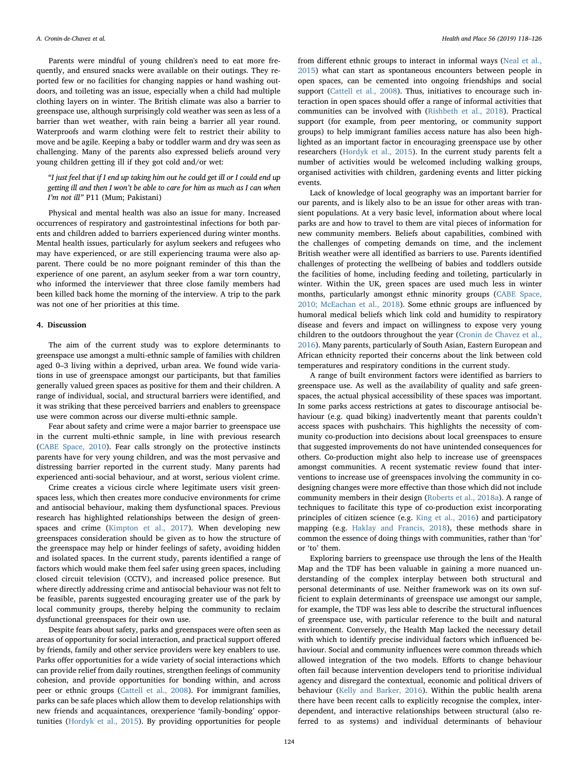Parents were mindful of young children's need to eat more frequently, and ensured snacks were available on their outings. They reported few or no facilities for changing nappies or hand washing outdoors, and toileting was an issue, especially when a child had multiple clothing layers on in winter. The British climate was also a barrier to greenspace use, although surprisingly cold weather was seen as less of a barrier than wet weather, with rain being a barrier all year round. Waterproofs and warm clothing were felt to restrict their ability to move and be agile. Keeping a baby or toddler warm and dry was seen as challenging. Many of the parents also expressed beliefs around very young children getting ill if they got cold and/or wet:

"I just feel that if I end up taking him out he could get ill or I could end up getting ill and then I won't be able to care for him as much as I can when I'm not ill" P11 (Mum; Pakistani)

Physical and mental health was also an issue for many. Increased occurrences of respiratory and gastrointestinal infections for both parents and children added to barriers experienced during winter months. Mental health issues, particularly for asylum seekers and refugees who may have experienced, or are still experiencing trauma were also apparent. There could be no more poignant reminder of this than the experience of one parent, an asylum seeker from a war torn country, who informed the interviewer that three close family members had been killed back home the morning of the interview. A trip to the park was not one of her priorities at this time.

## 4. Discussion

The aim of the current study was to explore determinants to greenspace use amongst a multi-ethnic sample of families with children aged 0–3 living within a deprived, urban area. We found wide variations in use of greenspace amongst our participants, but that families generally valued green spaces as positive for them and their children. A range of individual, social, and structural barriers were identified, and it was striking that these perceived barriers and enablers to greenspace use were common across our diverse multi-ethnic sample.

Fear about safety and crime were a major barrier to greenspace use in the current multi-ethnic sample, in line with previous research ([CABE Space, 2010](#page-8-22)). Fear calls strongly on the protective instincts parents have for very young children, and was the most pervasive and distressing barrier reported in the current study. Many parents had experienced anti-social behaviour, and at worst, serious violent crime.

Crime creates a vicious circle where legitimate users visit greenspaces less, which then creates more conducive environments for crime and antisocial behaviour, making them dysfunctional spaces. Previous research has highlighted relationships between the design of greenspaces and crime ([Kimpton et al., 2017\)](#page-8-23). When developing new greenspaces consideration should be given as to how the structure of the greenspace may help or hinder feelings of safety, avoiding hidden and isolated spaces. In the current study, parents identified a range of factors which would make them feel safer using green spaces, including closed circuit television (CCTV), and increased police presence. But where directly addressing crime and antisocial behaviour was not felt to be feasible, parents suggested encouraging greater use of the park by local community groups, thereby helping the community to reclaim dysfunctional greenspaces for their own use.

Despite fears about safety, parks and greenspaces were often seen as areas of opportunity for social interaction, and practical support offered by friends, family and other service providers were key enablers to use. Parks offer opportunities for a wide variety of social interactions which can provide relief from daily routines, strengthen feelings of community cohesion, and provide opportunities for bonding within, and across peer or ethnic groups ([Cattell et al., 2008\)](#page-8-24). For immigrant families, parks can be safe places which allow them to develop relationships with new friends and acquaintances, orexperience 'family-bonding' opportunities [\(Hordyk et al., 2015\)](#page-8-25). By providing opportunities for people

from different ethnic groups to interact in informal ways [\(Neal et al.,](#page-8-26) [2015\)](#page-8-26) what can start as spontaneous encounters between people in open spaces, can be cemented into ongoing friendships and social support ([Cattell et al., 2008\)](#page-8-24). Thus, initiatives to encourage such interaction in open spaces should offer a range of informal activities that communities can be involved with [\(Rishbeth et al., 2018\)](#page-8-27). Practical support (for example, from peer mentoring, or community support groups) to help immigrant families access nature has also been highlighted as an important factor in encouraging greenspace use by other researchers ([Hordyk et al., 2015](#page-8-25)). In the current study parents felt a number of activities would be welcomed including walking groups, organised activities with children, gardening events and litter picking events.

Lack of knowledge of local geography was an important barrier for our parents, and is likely also to be an issue for other areas with transient populations. At a very basic level, information about where local parks are and how to travel to them are vital pieces of information for new community members. Beliefs about capabilities, combined with the challenges of competing demands on time, and the inclement British weather were all identified as barriers to use. Parents identified challenges of protecting the wellbeing of babies and toddlers outside the facilities of home, including feeding and toileting, particularly in winter. Within the UK, green spaces are used much less in winter months, particularly amongst ethnic minority groups ([CABE Space,](#page-8-22) [2010; McEachan et al., 2018](#page-8-22)). Some ethnic groups are influenced by humoral medical beliefs which link cold and humidity to respiratory disease and fevers and impact on willingness to expose very young children to the outdoors throughout the year [\(Cronin de Chavez et al.,](#page-8-28) [2016\)](#page-8-28). Many parents, particularly of South Asian, Eastern European and African ethnicity reported their concerns about the link between cold temperatures and respiratory conditions in the current study.

A range of built environment factors were identified as barriers to greenspace use. As well as the availability of quality and safe greenspaces, the actual physical accessibility of these spaces was important. In some parks access restrictions at gates to discourage antisocial behaviour (e.g. quad biking) inadvertently meant that parents couldn't access spaces with pushchairs. This highlights the necessity of community co-production into decisions about local greenspaces to ensure that suggested improvements do not have unintended consequences for others. Co-production might also help to increase use of greenspaces amongst communities. A recent systematic review found that interventions to increase use of greenspaces involving the community in codesigning changes were more effective than those which did not include community members in their design ([Roberts et al., 2018a](#page-8-29)). A range of techniques to facilitate this type of co-production exist incorporating principles of citizen science (e.g. [King et al., 2016](#page-8-30)) and participatory mapping (e.g. [Haklay and Francis, 2018\)](#page-8-31), these methods share in common the essence of doing things with communities, rather than 'for' or 'to' them.

Exploring barriers to greenspace use through the lens of the Health Map and the TDF has been valuable in gaining a more nuanced understanding of the complex interplay between both structural and personal determinants of use. Neither framework was on its own sufficient to explain determinants of greenspace use amongst our sample, for example, the TDF was less able to describe the structural influences of greenspace use, with particular reference to the built and natural environment. Conversely, the Health Map lacked the necessary detail with which to identify precise individual factors which influenced behaviour. Social and community influences were common threads which allowed integration of the two models. Efforts to change behaviour often fail because intervention developers tend to prioritise individual agency and disregard the contextual, economic and political drivers of behaviour ([Kelly and Barker, 2016\)](#page-8-32). Within the public health arena there have been recent calls to explicitly recognise the complex, interdependent, and interactive relationships between structural (also referred to as systems) and individual determinants of behaviour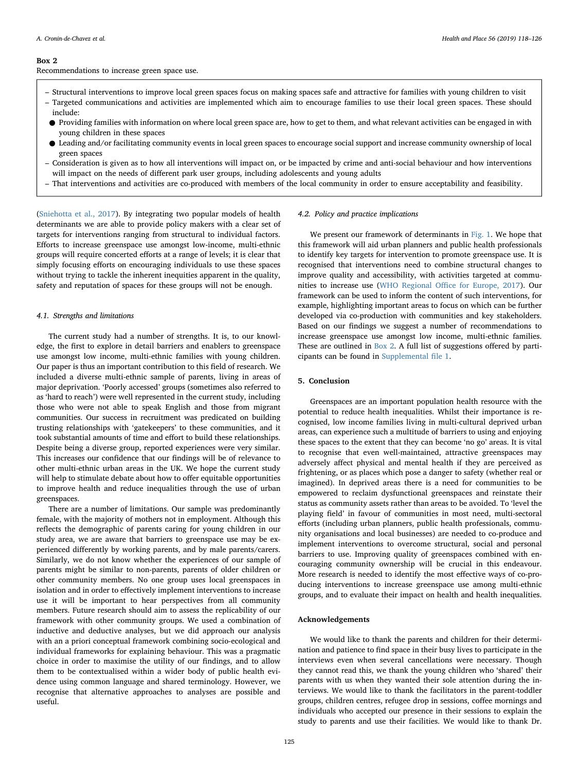#### <span id="page-7-0"></span>Box 2

Recommendations to increase green space use.

- Structural interventions to improve local green spaces focus on making spaces safe and attractive for families with young children to visit
- Targeted communications and activities are implemented which aim to encourage families to use their local green spaces. These should include:
- Providing families with information on where local green space are, how to get to them, and what relevant activities can be engaged in with young children in these spaces
- Leading and/or facilitating community events in local green spaces to encourage social support and increase community ownership of local green spaces
- Consideration is given as to how all interventions will impact on, or be impacted by crime and anti-social behaviour and how interventions will impact on the needs of different park user groups, including adolescents and young adults
- That interventions and activities are co-produced with members of the local community in order to ensure acceptability and feasibility.

([Sniehotta et al., 2017\)](#page-8-33). By integrating two popular models of health determinants we are able to provide policy makers with a clear set of targets for interventions ranging from structural to individual factors. Efforts to increase greenspace use amongst low-income, multi-ethnic groups will require concerted efforts at a range of levels; it is clear that simply focusing efforts on encouraging individuals to use these spaces without trying to tackle the inherent inequities apparent in the quality, safety and reputation of spaces for these groups will not be enough.

# 4.1. Strengths and limitations

The current study had a number of strengths. It is, to our knowledge, the first to explore in detail barriers and enablers to greenspace use amongst low income, multi-ethnic families with young children. Our paper is thus an important contribution to this field of research. We included a diverse multi-ethnic sample of parents, living in areas of major deprivation. 'Poorly accessed' groups (sometimes also referred to as 'hard to reach') were well represented in the current study, including those who were not able to speak English and those from migrant communities. Our success in recruitment was predicated on building trusting relationships with 'gatekeepers' to these communities, and it took substantial amounts of time and effort to build these relationships. Despite being a diverse group, reported experiences were very similar. This increases our confidence that our findings will be of relevance to other multi-ethnic urban areas in the UK. We hope the current study will help to stimulate debate about how to offer equitable opportunities to improve health and reduce inequalities through the use of urban greenspaces.

There are a number of limitations. Our sample was predominantly female, with the majority of mothers not in employment. Although this reflects the demographic of parents caring for young children in our study area, we are aware that barriers to greenspace use may be experienced differently by working parents, and by male parents/carers. Similarly, we do not know whether the experiences of our sample of parents might be similar to non-parents, parents of older children or other community members. No one group uses local greenspaces in isolation and in order to effectively implement interventions to increase use it will be important to hear perspectives from all community members. Future research should aim to assess the replicability of our framework with other community groups. We used a combination of inductive and deductive analyses, but we did approach our analysis with an a priori conceptual framework combining socio-ecological and individual frameworks for explaining behaviour. This was a pragmatic choice in order to maximise the utility of our findings, and to allow them to be contextualised within a wider body of public health evidence using common language and shared terminology. However, we recognise that alternative approaches to analyses are possible and useful.

## 4.2. Policy and practice implications

We present our framework of determinants in [Fig. 1](#page-4-0). We hope that this framework will aid urban planners and public health professionals to identify key targets for intervention to promote greenspace use. It is recognised that interventions need to combine structural changes to improve quality and accessibility, with activities targeted at communities to increase use (WHO Regional Offi[ce for Europe, 2017](#page-8-34)). Our framework can be used to inform the content of such interventions, for example, highlighting important areas to focus on which can be further developed via co-production with communities and key stakeholders. Based on our findings we suggest a number of recommendations to increase greenspace use amongst low income, multi-ethnic families. These are outlined in [Box 2.](#page-7-0) A full list of suggestions offered by participants can be found in Supplemental file 1.

# 5. Conclusion

Greenspaces are an important population health resource with the potential to reduce health inequalities. Whilst their importance is recognised, low income families living in multi-cultural deprived urban areas, can experience such a multitude of barriers to using and enjoying these spaces to the extent that they can become 'no go' areas. It is vital to recognise that even well-maintained, attractive greenspaces may adversely affect physical and mental health if they are perceived as frightening, or as places which pose a danger to safety (whether real or imagined). In deprived areas there is a need for communities to be empowered to reclaim dysfunctional greenspaces and reinstate their status as community assets rather than areas to be avoided. To 'level the playing field' in favour of communities in most need, multi-sectoral efforts (including urban planners, public health professionals, community organisations and local businesses) are needed to co-produce and implement interventions to overcome structural, social and personal barriers to use. Improving quality of greenspaces combined with encouraging community ownership will be crucial in this endeavour. More research is needed to identify the most effective ways of co-producing interventions to increase greenspace use among multi-ethnic groups, and to evaluate their impact on health and health inequalities.

# Acknowledgements

We would like to thank the parents and children for their determination and patience to find space in their busy lives to participate in the interviews even when several cancellations were necessary. Though they cannot read this, we thank the young children who 'shared' their parents with us when they wanted their sole attention during the interviews. We would like to thank the facilitators in the parent-toddler groups, children centres, refugee drop in sessions, coffee mornings and individuals who accepted our presence in their sessions to explain the study to parents and use their facilities. We would like to thank Dr.